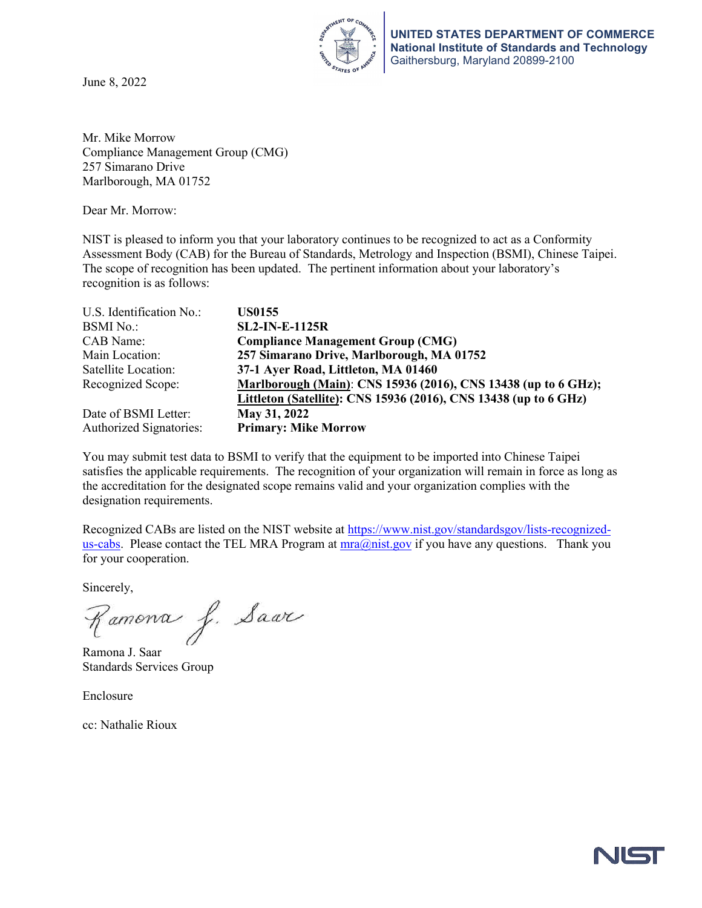June 8, 2022



**UNITED STATES DEPARTMENT OF COMMERCE National Institute of Standards and Technology** Gaithersburg, Maryland 20899-2100

Mr. Mike Morrow Compliance Management Group (CMG) 257 Simarano Drive Marlborough, MA 01752

Dear Mr. Morrow:

NIST is pleased to inform you that your laboratory continues to be recognized to act as a Conformity Assessment Body (CAB) for the Bureau of Standards, Metrology and Inspection (BSMI), Chinese Taipei. The scope of recognition has been updated. The pertinent information about your laboratory's recognition is as follows:

| U.S. Identification No.:       | <b>US0155</b>                                                    |
|--------------------------------|------------------------------------------------------------------|
| <b>BSMI</b> No.:               | <b>SL2-IN-E-1125R</b>                                            |
| CAB Name:                      | <b>Compliance Management Group (CMG)</b>                         |
| Main Location:                 | 257 Simarano Drive, Marlborough, MA 01752                        |
| Satellite Location:            | 37-1 Ayer Road, Littleton, MA 01460                              |
| Recognized Scope:              | Marlborough (Main): CNS 15936 (2016), CNS 13438 (up to 6 GHz);   |
|                                | Littleton (Satellite): CNS 15936 (2016), CNS 13438 (up to 6 GHz) |
| Date of BSMI Letter:           | May 31, 2022                                                     |
| <b>Authorized Signatories:</b> | <b>Primary: Mike Morrow</b>                                      |

You may submit test data to BSMI to verify that the equipment to be imported into Chinese Taipei satisfies the applicable requirements. The recognition of your organization will remain in force as long as the accreditation for the designated scope remains valid and your organization complies with the designation requirements.

Recognized CABs are listed on the NIST website at [https://www.nist.gov/standardsgov/lists-recognized](https://www.nist.gov/standardsgov/lists-recognized-us-cabs)[us-cabs.](https://www.nist.gov/standardsgov/lists-recognized-us-cabs) Please contact the TEL MRA Program at  $mra@nist.gov$  if you have any questions. Thank you for your cooperation.

Sincerely,

Ramona J. Saar

Ramona J. Saar Standards Services Group

Enclosure

cc: Nathalie Rioux